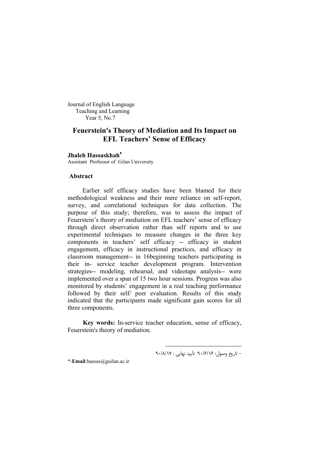Journal of English Language Teaching and Learning Year 5, No.7

# **Feuerstein's Theory of Mediation and Its Impact on EFL Teachers' Sense of Efficacy**

### **Jhaleh Hassaskhah**

Assistant Professor of Gilan University

#### **Abstract**

Earlier self efficacy studies have been blamed for their methodological weakness and their mere reliance on self-report, survey, and correlational techniques for data collection. The purpose of this study; therefore, was to assess the impact of Feuerstein's theory of mediation on EFL teachers' sense of efficacy through direct observation rather than self reports and to use experimental techniques to measure changes in the three key components in teachers' self efficacy -- efficacy in student engagement, efficacy in instructional practices, and efficacy in classroom management-- in 16beginning teachers participating in their in- service teacher development program. Intervention strategies-- modeling, rehearsal, and videotape analysis-- were implemented over a span of 15 two hour sessions. Progress was also monitored by students' engagement in a real teaching performance followed by their self/ peer evaluation. Results of this study indicated that the participants made significant gain scores for all three components.

**Key words:** In-service teacher education, sense of efficacy, Feuerstein's theory of mediation.

-

- تاریخ وصول: 16 /6/ 90 تأیید نهایی : 17 /8/ 90

\*-**Email**:hassas@guilan.ac.ir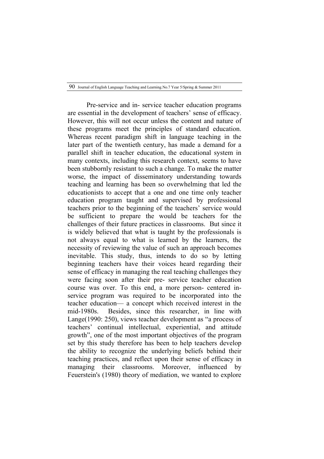Pre-service and in- service teacher education programs are essential in the development of teachers' sense of efficacy. However, this will not occur unless the content and nature of these programs meet the principles of standard education. Whereas recent paradigm shift in language teaching in the later part of the twentieth century, has made a demand for a parallel shift in teacher education, the educational system in many contexts, including this research context, seems to have been stubbornly resistant to such a change. To make the matter worse, the impact of disseminatory understanding towards teaching and learning has been so overwhelming that led the educationists to accept that a one and one time only teacher education program taught and supervised by professional teachers prior to the beginning of the teachers' service would be sufficient to prepare the would be teachers for the challenges of their future practices in classrooms. But since it is widely believed that what is taught by the professionals is not always equal to what is learned by the learners, the necessity of reviewing the value of such an approach becomes inevitable. This study, thus, intends to do so by letting beginning teachers have their voices heard regarding their sense of efficacy in managing the real teaching challenges they were facing soon after their pre- service teacher education course was over. To this end, a more person- centered inservice program was required to be incorporated into the teacher education— a concept which received interest in the mid-1980s. Besides, since this researcher, in line with Lange(1990: 250), views teacher development as "a process of teachers' continual intellectual, experiential, and attitude growth", one of the most important objectives of the program set by this study therefore has been to help teachers develop the ability to recognize the underlying beliefs behind their teaching practices, and reflect upon their sense of efficacy in managing their classrooms. Moreover, influenced by Feuerstein's (1980) theory of mediation, we wanted to explore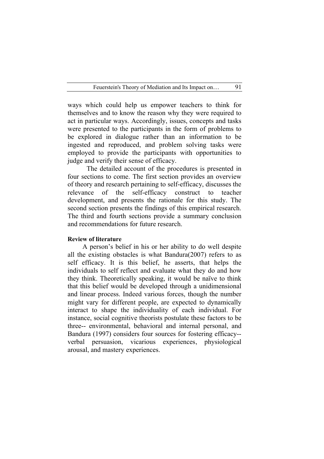ways which could help us empower teachers to think for themselves and to know the reason why they were required to act in particular ways. Accordingly, issues, concepts and tasks were presented to the participants in the form of problems to be explored in dialogue rather than an information to be ingested and reproduced, and problem solving tasks were employed to provide the participants with opportunities to judge and verify their sense of efficacy.

The detailed account of the procedures is presented in four sections to come. The first section provides an overview of theory and research pertaining to self-efficacy, discusses the relevance of the self-efficacy construct to teacher development, and presents the rationale for this study. The second section presents the findings of this empirical research. The third and fourth sections provide a summary conclusion and recommendations for future research.

### **Review of literature**

A person's belief in his or her ability to do well despite all the existing obstacles is what Bandura(2007) refers to as self efficacy. It is this belief, he asserts, that helps the individuals to self reflect and evaluate what they do and how they think. Theoretically speaking, it would be naïve to think that this belief would be developed through a unidimensional and linear process. Indeed various forces, though the number might vary for different people, are expected to dynamically interact to shape the individuality of each individual. For instance, social cognitive theorists postulate these factors to be three-- environmental, behavioral and internal personal, and Bandura (1997) considers four sources for fostering efficacy- verbal persuasion, vicarious experiences, physiological arousal, and mastery experiences.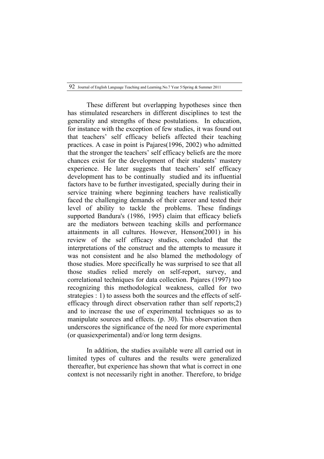These different but overlapping hypotheses since then has stimulated researchers in different disciplines to test the generality and strengths of these postulations. In education, for instance with the exception of few studies, it was found out that teachers' self efficacy beliefs affected their teaching practices. A case in point is Pajares(1996, 2002) who admitted that the stronger the teachers' self efficacy beliefs are the more chances exist for the development of their students' mastery experience. He later suggests that teachers' self efficacy development has to be continually studied and its influential factors have to be further investigated, specially during their in service training where beginning teachers have realistically faced the challenging demands of their career and tested their level of ability to tackle the problems. These findings supported Bandura's (1986, 1995) claim that efficacy beliefs are the mediators between teaching skills and performance attainments in all cultures. However, Henson(2001) in his review of the self efficacy studies, concluded that the interpretations of the construct and the attempts to measure it was not consistent and he also blamed the methodology of those studies. More specifically he was surprised to see that all those studies relied merely on self-report, survey, and correlational techniques for data collection. Pajares (1997) too recognizing this methodological weakness, called for two strategies : 1) to assess both the sources and the effects of selfefficacy through direct observation rather than self reports;2) and to increase the use of experimental techniques so as to manipulate sources and effects. (p. 30). This observation then underscores the significance of the need for more experimental (or quasiexperimental) and/or long term designs.

In addition, the studies available were all carried out in limited types of cultures and the results were generalized thereafter, but experience has shown that what is correct in one context is not necessarily right in another. Therefore, to bridge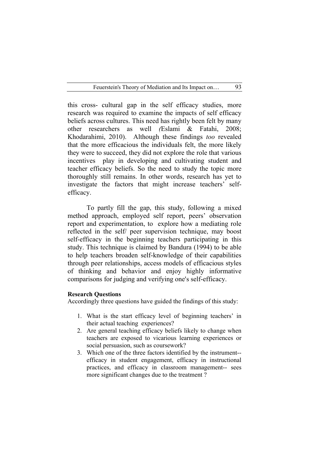this cross- cultural gap in the self efficacy studies, more research was required to examine the impacts of self efficacy beliefs across cultures. This need has rightly been felt by many other researchers as well *(*Eslami & Fatahi, 2008; Khodarahimi, 2010). Although these findings *too* revealed that the more efficacious the individuals felt, the more likely they were to succeed, they did not explore the role that various incentives play in developing and cultivating student and teacher efficacy beliefs. So the need to study the topic more thoroughly still remains. In other words, research has yet to investigate the factors that might increase teachers' selfefficacy.

To partly fill the gap, this study, following a mixed method approach, employed self report, peers' observation report and experimentation, to explore how a mediating role reflected in the self/ peer supervision technique, may boost self-efficacy in the beginning teachers participating in this study. This technique is claimed by Bandura (1994) to be able to help teachers broaden self-knowledge of their capabilities through peer relationships, access models of efficacious styles of thinking and behavior and enjoy highly informative comparisons for judging and verifying one's self-efficacy.

# **Research Questions**

Accordingly three questions have guided the findings of this study:

- 1. What is the start efficacy level of beginning teachers' in their actual teaching experiences?
- 2. Are general teaching efficacy beliefs likely to change when teachers are exposed to vicarious learning experiences or social persuasion, such as coursework?
- 3. Which one of the three factors identified by the instrument- efficacy in student engagement, efficacy in instructional practices, and efficacy in classroom management-- sees more significant changes due to the treatment ?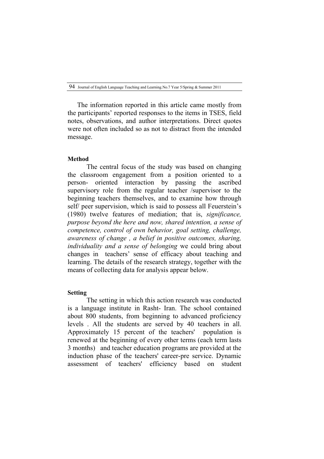The information reported in this article came mostly from the participants' reported responses to the items in TSES, field notes, observations, and author interpretations. Direct quotes were not often included so as not to distract from the intended message.

#### **Method**

The central focus of the study was based on changing the classroom engagement from a position oriented to a person- oriented interaction by passing the ascribed supervisory role from the regular teacher /supervisor to the beginning teachers themselves, and to examine how through self/ peer supervision, which is said to possess all Feuerstein's (1980) twelve features of mediation; that is, *significance, purpose beyond the here and now, shared intention, a sense of competence, control of own behavior, goal setting, challenge, awareness of change , a belief in positive outcomes, sharing, individuality and a sense of belonging* we could bring about changes in teachers' sense of efficacy about teaching and learning. The details of the research strategy, together with the means of collecting data for analysis appear below.

# **Setting**

The setting in which this action research was conducted is a language institute in Rasht- Iran. The school contained about 800 students, from beginning to advanced proficiency levels . All the students are served by 40 teachers in all. Approximately 15 percent of the teachers' population is renewed at the beginning of every other terms (each term lasts 3 months) and teacher education programs are provided at the induction phase of the teachers' career-pre service. Dynamic assessment of teachers' efficiency based on student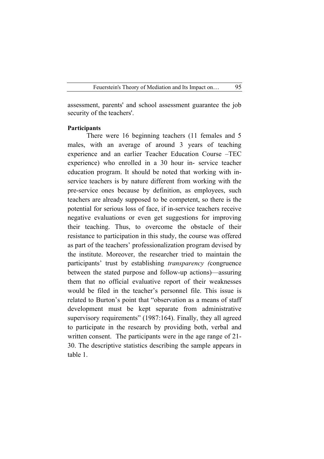assessment, parents' and school assessment guarantee the job security of the teachers'.

### **Participants**

There were 16 beginning teachers (11 females and 5 males, with an average of around 3 years of teaching experience and an earlier Teacher Education Course –TEC experience) who enrolled in a 30 hour in- service teacher education program. It should be noted that working with inservice teachers is by nature different from working with the pre-service ones because by definition, as employees, such teachers are already supposed to be competent, so there is the potential for serious loss of face, if in-service teachers receive negative evaluations or even get suggestions for improving their teaching. Thus, to overcome the obstacle of their resistance to participation in this study, the course was offered as part of the teachers' professionalization program devised by the institute. Moreover, the researcher tried to maintain the participants' trust by establishing *transparency (*congruence between the stated purpose and follow-up actions)—assuring them that no official evaluative report of their weaknesses would be filed in the teacher's personnel file. This issue is related to Burton's point that "observation as a means of staff development must be kept separate from administrative supervisory requirements" (1987:164). Finally, they all agreed to participate in the research by providing both, verbal and written consent. The participants were in the age range of 21- 30. The descriptive statistics describing the sample appears in table 1.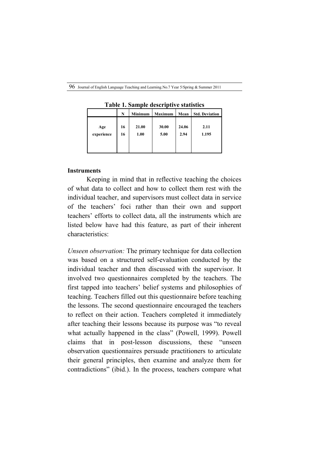| Table 1. Sample descriptive statistics |          |               |               |               |                       |  |  |
|----------------------------------------|----------|---------------|---------------|---------------|-----------------------|--|--|
|                                        | N        | Minimum       | Maximum       | Mean          | <b>Std. Deviation</b> |  |  |
| Age<br>experience                      | 16<br>16 | 21.00<br>1.00 | 30.00<br>5.00 | 24.06<br>2.94 | 2.11<br>1.195         |  |  |

**Table 1. Sample descriptive statistics**

# **Instruments**

Keeping in mind that in reflective teaching the choices of what data to collect and how to collect them rest with the individual teacher, and supervisors must collect data in service of the teachers' foci rather than their own and support teachers' efforts to collect data, all the instruments which are listed below have had this feature, as part of their inherent characteristics:

*Unseen observation:* The primary technique for data collection was based on a structured self-evaluation conducted by the individual teacher and then discussed with the supervisor. It involved two questionnaires completed by the teachers. The first tapped into teachers' belief systems and philosophies of teaching. Teachers filled out this questionnaire before teaching the lessons. The second questionnaire encouraged the teachers to reflect on their action. Teachers completed it immediately after teaching their lessons because its purpose was "to reveal what actually happened in the class" (Powell, 1999). Powell claims that in post-lesson discussions, these "unseen observation questionnaires persuade practitioners to articulate their general principles, then examine and analyze them for contradictions" (ibid.). In the process, teachers compare what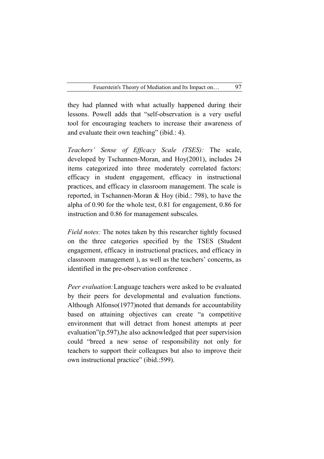they had planned with what actually happened during their lessons. Powell adds that "self-observation is a very useful tool for encouraging teachers to increase their awareness of and evaluate their own teaching" (ibid.: 4).

*Teachers' Sense of Efficacy Scale (TSES):* The scale, developed by Tschannen-Moran, and Hoy(2001), includes 24 items categorized into three moderately correlated factors: efficacy in student engagement, efficacy in instructional practices, and efficacy in classroom management. The scale is reported, in Tschannen-Moran & Hoy (ibid.: 798), to have the alpha of 0.90 for the whole test, 0.81 for engagement, 0.86 for instruction and 0.86 for management subscales.

*Field notes:* The notes taken by this researcher tightly focused on the three categories specified by the TSES (Student engagement, efficacy in instructional practices, and efficacy in classroom management ), as well as the teachers' concerns, as identified in the pre-observation conference .

*Peer evaluation:*Language teachers were asked to be evaluated by their peers for developmental and evaluation functions. Although Alfonso(1977)noted that demands for accountability based on attaining objectives can create "a competitive environment that will detract from honest attempts at peer evaluation"(p.597),he also acknowledged that peer supervision could "breed a new sense of responsibility not only for teachers to support their colleagues but also to improve their own instructional practice" (ibid.:599).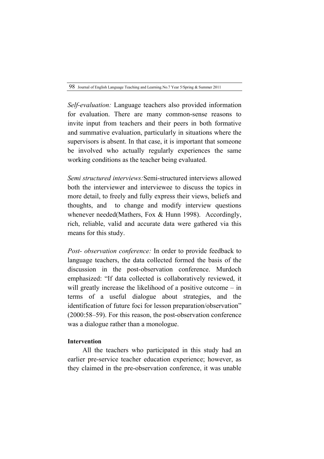*Self-evaluation:* Language teachers also provided information for evaluation. There are many common-sense reasons to invite input from teachers and their peers in both formative and summative evaluation, particularly in situations where the supervisors is absent. In that case, it is important that someone be involved who actually regularly experiences the same working conditions as the teacher being evaluated.

*Semi structured interviews:*Semi-structured interviews allowed both the interviewer and interviewee to discuss the topics in more detail, to freely and fully express their views, beliefs and thoughts, and to change and modify interview questions whenever needed(Mathers, Fox & Hunn 1998). Accordingly, rich, reliable, valid and accurate data were gathered via this means for this study.

*Post- observation conference:* In order to provide feedback to language teachers, the data collected formed the basis of the discussion in the post-observation conference. Murdoch emphasized: "If data collected is collaboratively reviewed, it will greatly increase the likelihood of a positive outcome – in terms of a useful dialogue about strategies, and the identification of future foci for lesson preparation/observation" (2000:58–59). For this reason, the post-observation conference was a dialogue rather than a monologue.

# **Intervention**

All the teachers who participated in this study had an earlier pre-service teacher education experience; however, as they claimed in the pre-observation conference, it was unable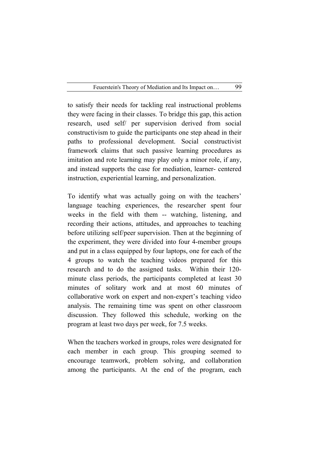to satisfy their needs for tackling real instructional problems they were facing in their classes. To bridge this gap, this action research, used self/ per supervision derived from social constructivism to guide the participants one step ahead in their paths to professional development. Social constructivist framework claims that such passive learning procedures as imitation and rote learning may play only a minor role, if any, and instead supports the case for mediation, learner- centered instruction, experiential learning, and personalization.

To identify what was actually going on with the teachers' language teaching experiences, the researcher spent four weeks in the field with them -- watching, listening, and recording their actions, attitudes, and approaches to teaching before utilizing self/peer supervision. Then at the beginning of the experiment, they were divided into four 4-member groups and put in a class equipped by four laptops, one for each of the 4 groups to watch the teaching videos prepared for this research and to do the assigned tasks. Within their 120 minute class periods, the participants completed at least 30 minutes of solitary work and at most 60 minutes of collaborative work on expert and non-expert's teaching video analysis. The remaining time was spent on other classroom discussion. They followed this schedule, working on the program at least two days per week, for 7.5 weeks.

When the teachers worked in groups, roles were designated for each member in each group. This grouping seemed to encourage teamwork, problem solving, and collaboration among the participants. At the end of the program, each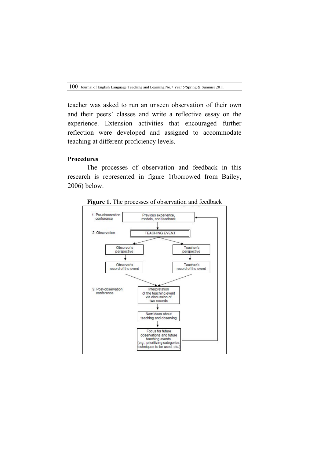teacher was asked to run an unseen observation of their own and their peers' classes and write a reflective essay on the experience. Extension activities that encouraged further reflection were developed and assigned to accommodate teaching at different proficiency levels.

# **Procedures**

The processes of observation and feedback in this research is represented in figure 1(borrowed from Bailey, 2006) below.



**Figure 1.** The processes of observation and feedback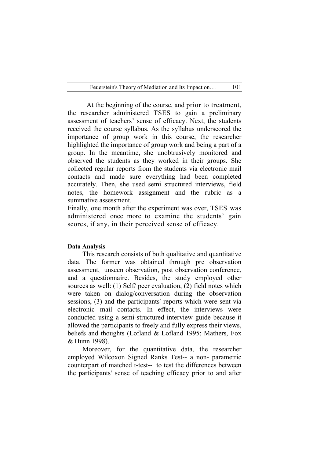At the beginning of the course, and prior to treatment, the researcher administered TSES to gain a preliminary assessment of teachers' sense of efficacy. Next, the students received the course syllabus. As the syllabus underscored the importance of group work in this course, the researcher highlighted the importance of group work and being a part of a group. In the meantime, she unobtrusively monitored and observed the students as they worked in their groups. She collected regular reports from the students via electronic mail contacts and made sure everything had been completed accurately. Then, she used semi structured interviews, field notes, the homework assignment and the rubric as a summative assessment.

Finally, one month after the experiment was over, TSES was administered once more to examine the students' gain scores, if any, in their perceived sense of efficacy.

### **Data Analysis**

This research consists of both qualitative and quantitative data. The former was obtained through pre observation assessment, unseen observation, post observation conference, and a questionnaire. Besides, the study employed other sources as well: (1) Self/ peer evaluation, (2) field notes which were taken on dialog/conversation during the observation sessions, (3) and the participants' reports which were sent via electronic mail contacts. In effect, the interviews were conducted using a semi-structured interview guide because it allowed the participants to freely and fully express their views, beliefs and thoughts (Lofland & Lofland 1995; Mathers, Fox & Hunn 1998).

Moreover, for the quantitative data, the researcher employed Wilcoxon Signed Ranks Test-- a non- parametric counterpart of matched t-test-- to test the differences between the participants' sense of teaching efficacy prior to and after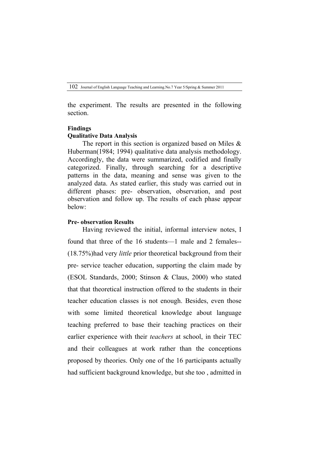the experiment. The results are presented in the following section.

#### **Findings**

### **Qualitative Data Analysis**

The report in this section is organized based on Miles  $\&$ Huberman(1984; 1994) qualitative data analysis methodology. Accordingly, the data were summarized, codified and finally categorized. Finally, through searching for a descriptive patterns in the data, meaning and sense was given to the analyzed data. As stated earlier, this study was carried out in different phases: pre- observation, observation, and post observation and follow up. The results of each phase appear below:

### **Pre- observation Results**

Having reviewed the initial, informal interview notes, I found that three of the 16 students—1 male and 2 females-- (18.75%)had very *little* prior theoretical background from their pre- service teacher education, supporting the claim made by (ESOL Standards, 2000; Stinson & Claus, 2000) who stated that that theoretical instruction offered to the students in their teacher education classes is not enough. Besides, even those with some limited theoretical knowledge about language teaching preferred to base their teaching practices on their earlier experience with their *teachers* at school, in their TEC and their colleagues at work rather than the conceptions proposed by theories. Only one of the 16 participants actually had sufficient background knowledge, but she too , admitted in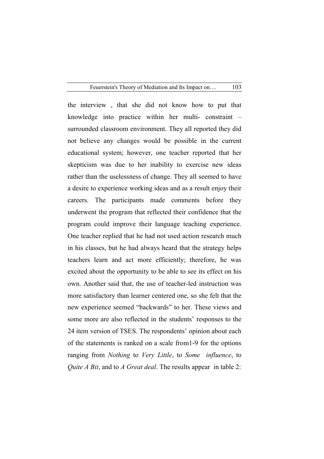the interview , that she did not know how to put that knowledge into practice within her multi- constraint – surrounded classroom environment. They all reported they did not believe any changes would be possible in the current educational system; however, one teacher reported that her skepticism was due to her inability to exercise new ideas rather than the uselessness of change. They all seemed to have a desire to experience working ideas and as a result enjoy their careers. The participants made comments before they underwent the program that reflected their confidence that the program could improve their language teaching experience. One teacher replied that he had not used action research much in his classes, but he had always heard that the strategy helps teachers learn and act more efficiently; therefore, he was excited about the opportunity to be able to see its effect on his own. Another said that, the use of teacher-led instruction was more satisfactory than learner centered one, so she felt that the new experience seemed "backwards" to her. These views and some more are also reflected in the students' responses to the 24 item version of TSES. The respondents' opinion about each of the statements is ranked on a scale from1-9 for the options ranging from *Nothing* to *Very Little*, to *Some influence*, to *Quite A Bit*, and to *A Great deal*. The results appear in table 2: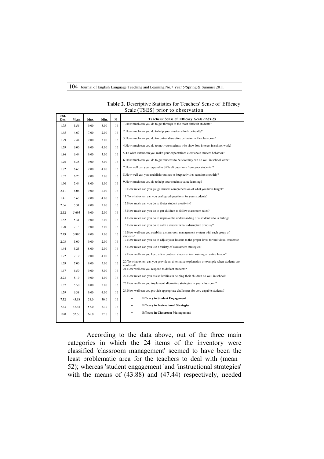| Std. | $\frac{1}{2}$ |      |      |    |                                                                                                         |  |  |  |
|------|---------------|------|------|----|---------------------------------------------------------------------------------------------------------|--|--|--|
| Dev. | Mean          | Max. | Min. | N  | Teachers' Sense of Efficacy Scale (TSES)                                                                |  |  |  |
| 1.75 | 5.56          | 9.00 | 3.00 | 16 | 1. How much can you do to get through to the most difficult students?                                   |  |  |  |
| 1.45 | 4.67          | 7.00 | 2.00 | 16 | 2. How much can you do to help your students think critically?                                          |  |  |  |
| 1.79 | 7.44          | 9.00 | 3.00 | 16 | 3. How much can you do to control disruptive behavior in the classroom?                                 |  |  |  |
| 1.59 | 6.00          | 9.00 | 4.00 | 16 | 4. How much can you do to motivate students who show low interest in school work?                       |  |  |  |
| 1.86 | 6.44          | 9.00 | 3.00 | 16 | 5. To what extent can you make your expectations clear about student behavior?                          |  |  |  |
| 1.26 | 6.38          | 9.00 | 5.00 | 16 | 6. How much can you do to get students to believe they can do well in school work?                      |  |  |  |
| 1.82 | 6.63          | 9.00 | 4.00 | 16 | 7. How well can you respond to difficult questions from your students?                                  |  |  |  |
| 1.57 | 6.25          | 9.00 | 3.00 | 16 | 8. How well can you establish routines to keep activities running smoothly?                             |  |  |  |
| 1.90 | 5.44          | 8.00 | 1.00 | 16 | 9. How much can you do to help your students value learning?                                            |  |  |  |
| 2.11 | 6.06          | 9.00 | 2.00 | 16 | 10. How much can you gauge student comprehension of what you have taught?                               |  |  |  |
| 1.41 | 5.63          | 9.00 | 4.00 | 16 | 11. To what extent can you craft good questions for your students?                                      |  |  |  |
| 2.06 | 5.31          | 9.00 | 2.00 | 16 | 12. How much can you do to foster student creativity?                                                   |  |  |  |
| 2.12 | 5.695         | 9.00 | 2.00 | 16 | 13. How much can you do to get children to follow classroom rules?                                      |  |  |  |
| 1.82 | 5.31          | 9.00 | 2.00 | 16 | 14. How much can you do to improve the understanding of a student who is failing?                       |  |  |  |
| 1.90 | 7.13          | 9.00 | 3.00 | 16 | 15. How much can you do to calm a student who is disruptive or noisy?                                   |  |  |  |
| 2.19 | 5.880         | 9.00 | 1.00 | 16 | 16. How well can you establish a classroom management system with each group of<br>students?            |  |  |  |
| 2.03 | 5.00          | 9.00 | 2.00 | 16 | 17. How much can you do to adjust your lessons to the proper level for individual students?             |  |  |  |
| 1.44 | 5.25          | 8.00 | 2.00 | 16 | 18. How much can you use a variety of assessment strategies?                                            |  |  |  |
| 1.72 | 7.19          | 9.00 | 4.00 | 16 | 19. How well can you keep a few problem students form ruining an entire lesson?                         |  |  |  |
| 1.59 | 7.00          | 9.00 | 5.00 | 16 | 20. To what extent can you provide an alternative explanation or example when students are<br>confused? |  |  |  |
| 1.67 | 6.50          | 9.00 | 3.00 | 16 | 21. How well can you respond to defiant students?                                                       |  |  |  |
| 2.23 | 5.19          | 9.00 | 1.00 | 16 | 22. How much can you assist families in helping their children do well in school?                       |  |  |  |
| 1.37 | 5.50          | 8.00 | 2.00 | 16 | 23. How well can you implement alternative strategies in your classroom?                                |  |  |  |
| 1.59 | 6.38          | 9.00 | 4.00 | 16 | 24. How well can you provide appropriate challenges for very capable students?                          |  |  |  |
| 7.32 | 43.88         | 58.0 | 30.0 | 16 | <b>Efficacy in Student Engagement</b><br>٠                                                              |  |  |  |
| 7.33 | 47.44         | 57.0 | 33.0 | 16 | <b>Efficacy in Instructional Strategies</b><br>٠                                                        |  |  |  |
| 10.0 | 52.50         | 66.0 | 27.0 | 16 | <b>Efficacy in Classroom Management</b>                                                                 |  |  |  |
|      |               |      |      |    |                                                                                                         |  |  |  |

**Table 2.** Descriptive Statistics for Teachers' Sense of Efficacy Scale (TSES) prior to observation

According to the data above, out of the three main categories in which the 24 items of the inventory were classified 'classroom management' seemed to have been the least problematic area for the teachers to deal with (mean= 52); whereas 'student engagement 'and 'instructional strategies' with the means of (43.88) and (47.44) respectively, needed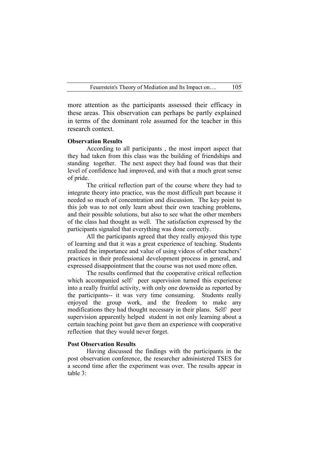more attention as the participants assessed their efficacy in these areas. This observation can perhaps be partly explained in terms of the dominant role assumed for the teacher in this research context.

### **Observation Results**

According to all participants , the most import aspect that they had taken from this class was the building of friendships and standing together. The next aspect they had found was that their level of confidence had improved, and with that a much great sense of pride.

The critical reflection part of the course where they had to integrate theory into practice, was the most difficult part because it needed so much of concentration and discussion. The key point to this job was to not only learn about their own teaching problems, and their possible solutions, but also to see what the other members of the class had thought as well. The satisfaction expressed by the participants signaled that everything was done correctly.

All the participants agreed that they really enjoyed this type of learning and that it was a great experience of teaching. Students realized the importance and value of using videos of other teachers' practices in their professional development process in general, and expressed disappointment that the course was not used more often.

The results confirmed that the cooperative critical reflection which accompanied self/ peer supervision turned this experience into a really fruitful activity, with only one downside as reported by the participants-- it was very time consuming. Students really enjoyed the group work, and the freedom to make any modifications they had thought necessary in their plans. Self/ peer supervision apparently helped student in not only learning about a certain teaching point but gave them an experience with cooperative reflection that they would never forget.

#### **Post Observation Results**

Having discussed the findings with the participants in the post observation conference, the researcher administered TSES for a second time after the experiment was over. The results appear in table 3: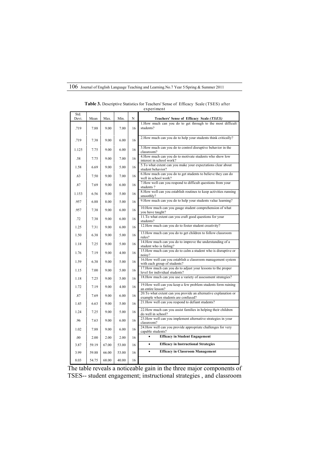| Std.<br>Devi. | Mean  | Max.  | Min.  | N  | Teachers' Sense of Efficacy Scale (TSES)                                                                |
|---------------|-------|-------|-------|----|---------------------------------------------------------------------------------------------------------|
| .719          | 7.88  | 9.00  | 7.00  | 16 | 1. How much can you do to get through to the most difficult<br>students?                                |
| .719          | 7.38  | 9.00  | 6.00  | 16 | 2. How much can you do to help your students think critically?                                          |
| 1.125         | 7.75  | 9.00  | 6.00  | 16 | 3. How much can you do to control disruptive behavior in the<br>classroom?                              |
| .58           | 7.75  | 9.00  | 7.00  | 16 | 4. How much can you do to motivate students who show low<br>interest in school work?                    |
| 1.58          | 6.69  | 9.00  | 5.00  | 16 | 5. To what extent can you make your expectations clear about<br>student behavior?                       |
| .63           | 7.50  | 9.00  | 7.00  | 16 | 6. How much can you do to get students to believe they can do<br>well in school work?                   |
| .87           | 7.69  | 9.00  | 6.00  | 16 | 7. How well can you respond to difficult questions from your<br>students?                               |
| 1.153         | 6.56  | 9.00  | 5.00  | 16 | 8. How well can you establish routines to keep activities running<br>smoothly?                          |
| 957           | 6.88  | 8.00  | 5.00  | 16 | 9. How much can you do to help your students value learning?                                            |
| .957          | 7.38  | 9.00  | 6.00  | 16 | 10. How much can you gauge student comprehension of what<br>you have taught?                            |
| .72           | 7.38  | 9.00  | 6.00  | 16 | 11. To what extent can you craft good questions for your<br>students?                                   |
| 1.25          | 7.31  | 9.00  | 6.00  | 16 | 12. How much can you do to foster student creativity?                                                   |
| 1.50          | 6.38  | 9.00  | 5.00  | 16 | 13. How much can you do to get children to follow classroom<br>rules?                                   |
| 1.18          | 7.25  | 9.00  | 5.00  | 16 | 14. How much can you do to improve the understanding of a<br>student who is failing?                    |
| 1.76          | 7.19  | 9.00  | 4.00  | 16 | 15. How much can you do to calm a student who is disruptive or<br>noisy?                                |
| 1.59          | 6.38  | 9.00  | 5.00  | 16 | 16. How well can you establish a classroom management system<br>with each group of students?            |
| 1.15          | 7.00  | 9.00  | 5.00  | 16 | 17. How much can you do to adjust your lessons to the proper<br>level for individual students?          |
| 1.18          | 7.25  | 9.00  | 5.00  | 16 | 18. How much can you use a variety of assessment strategies?                                            |
| 1.72          | 7.19  | 9.00  | 4.00  | 16 | 19. How well can you keep a few problem students form ruining<br>an entire lesson?                      |
| .87           | 7.69  | 9.00  | 6.00  | 16 | 20. To what extent can you provide an alternative explanation or<br>example when students are confused? |
| 1.45          | 6.63  | 9.00  | 5.00  | 16 | 21. How well can you respond to defiant students?                                                       |
| 1.24          | 7.25  | 9.00  | 5.00  | 16 | 22. How much can you assist families in helping their children<br>do well in school?                    |
| .96           | 7.63  | 9.00  | 6.00  | 16 | 23. How well can you implement alternative strategies in your<br>classroom?                             |
| 1.02          | 7.88  | 9.00  | 6.00  | 16 | 24. How well can you provide appropriate challenges for very<br>capable students?                       |
| .00           | 2.00  | 2.00  | 2.00  | 16 | <b>Efficacy in Student Engagement</b>                                                                   |
| 3.87          | 59.19 | 67.00 | 53.00 | 16 | <b>Efficacy in Instructional Strategies</b><br>$\bullet$                                                |
| 3.99          | 59.88 | 66.00 | 53.00 | 16 | <b>Efficacy in Classroom Management</b><br>$\bullet$                                                    |
| 8.03          | 54.75 | 68.00 | 40.00 | 16 |                                                                                                         |

 **Table 3.** Descriptive Statistics for Teachers' Sense of Efficacy Scale (TSES) after experiment

The table reveals a noticeable gain in the three major components of TSES-- student engagement; instructional strategies , and classroom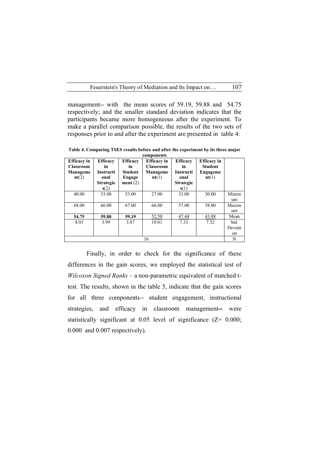management-- with the mean scores of 59.19, 59.88 and 54.75 respectively; and the smaller standard deviation indicates that the participants became more homogeneous after the experiment. To make a parallel comparison possible, the results of the two sets of responses prior to and after the experiment are presented in table 4:

**Table 4. Comparing TSES results before and after the experiment by its three major components**

| <b>Efficacy</b> in<br><b>Classroom</b><br>Manageme<br>nt(2) | <b>Efficacy</b><br>in<br><b>Instructi</b><br>onal<br><b>Strategie</b><br>s(2) | <b>Efficacy</b><br>in.<br><b>Student</b><br>Engage<br>ment(2) | <b>Efficacy</b> in<br><b>Classroom</b><br>Manageme<br>nt(1) | <b>Efficacy</b><br>in<br><b>Instructi</b><br>onal<br><b>Strategie</b><br>s(1) | <b>Efficacy</b> in<br><b>Student</b><br>Engageme<br>nt(1) |                       |
|-------------------------------------------------------------|-------------------------------------------------------------------------------|---------------------------------------------------------------|-------------------------------------------------------------|-------------------------------------------------------------------------------|-----------------------------------------------------------|-----------------------|
| 40.00                                                       | 53.00                                                                         | 53.00                                                         | 27.00                                                       | 33.00                                                                         | 30.00                                                     | Minim<br>um           |
| 68.00                                                       | 66.00                                                                         | 67.00                                                         | 66.00                                                       | 57.00                                                                         | 58.00                                                     | Maxim<br>um           |
| 54.75                                                       | 59.88                                                                         | 59.19                                                         | 52.50                                                       | 47.44                                                                         | 43.88                                                     | Mean                  |
| 8.03                                                        | 3.99                                                                          | 3.87                                                          | 10.01                                                       | 7.33                                                                          | 7.32                                                      | Std.<br>Deviati<br>on |
| 16                                                          |                                                                               |                                                               |                                                             |                                                                               |                                                           |                       |

Finally, in order to check for the significance of these differences in the gain scores, we employed the statistical test of *Wilcoxon Signed Ranks* – a non-parametric equivalent of matched ttest. The results, shown in the table 5, indicate that the gain scores for all three components-- student engagement, instructional strategies, and efficacy in classroom management**--** were statistically significant at 0.05 level of significance (Z= 0.000; 0.000 and 0.007 respectively).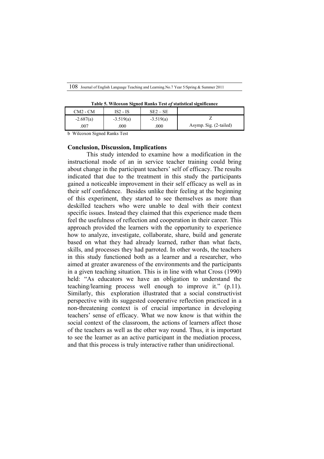| Table 5. Wilcoxon Signed Ranks Test of statistical significance |  |
|-----------------------------------------------------------------|--|
|-----------------------------------------------------------------|--|

| $CM2 - CM$  | IS2 - IS    | $SE2 - SE$  |                        |
|-------------|-------------|-------------|------------------------|
| $-2.687(a)$ | $-3.519(a)$ | $-3.519(a)$ |                        |
| 007         | .000        | .000        | Asymp. Sig. (2-tailed) |

b Wilcoxon Signed Ranks Test

### **Conclusion, Discussion, Implications**

This study intended to examine how a modification in the instructional mode of an in service teacher training could bring about change in the participant teachers' self of efficacy. The results indicated that due to the treatment in this study the participants gained a noticeable improvement in their self efficacy as well as in their self confidence. Besides unlike their feeling at the beginning of this experiment, they started to see themselves as more than deskilled teachers who were unable to deal with their context specific issues. Instead they claimed that this experience made them feel the usefulness of reflection and cooperation in their career. This approach provided the learners with the opportunity to experience how to analyze, investigate, collaborate, share, build and generate based on what they had already learned, rather than what facts, skills, and processes they had parroted. In other words, the teachers in this study functioned both as a learner and a researcher, who aimed at greater awareness of the environments and the participants in a given teaching situation. This is in line with what Cross (1990) held: "As educators we have an obligation to understand the teaching/learning process well enough to improve it." (p.11). Similarly, this exploration illustrated that a social constructivist perspective with its suggested cooperative reflection practiced in a non-threatening context is of crucial importance in developing teachers' sense of efficacy. What we now know is that within the social context of the classroom, the actions of learners affect those of the teachers as well as the other way round. Thus, it is important to see the learner as an active participant in the mediation process, and that this process is truly interactive rather than unidirectional.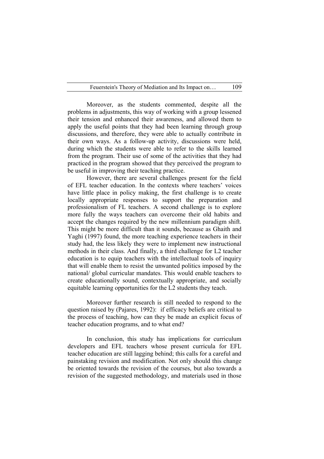Moreover, as the students commented, despite all the problems in adjustments, this way of working with a group lessened their tension and enhanced their awareness, and allowed them to apply the useful points that they had been learning through group discussions, and therefore, they were able to actually contribute in their own ways. As a follow-up activity, discussions were held, during which the students were able to refer to the skills learned from the program. Their use of some of the activities that they had practiced in the program showed that they perceived the program to be useful in improving their teaching practice.

However, there are several challenges present for the field of EFL teacher education. In the contexts where teachers' voices have little place in policy making, the first challenge is to create locally appropriate responses to support the preparation and professionalism of FL teachers. A second challenge is to explore more fully the ways teachers can overcome their old habits and accept the changes required by the new millennium paradigm shift. This might be more difficult than it sounds, because as Ghaith and Yaghi (1997) found, the more teaching experience teachers in their study had, the less likely they were to implement new instructional methods in their class. And finally, a third challenge for L2 teacher education is to equip teachers with the intellectual tools of inquiry that will enable them to resist the unwanted politics imposed by the national/ global curricular mandates. This would enable teachers to create educationally sound, contextually appropriate, and socially equitable learning opportunities for the L2 students they teach.

Moreover further research is still needed to respond to the question raised by (Pajares, 1992): if efficacy beliefs are critical to the process of teaching, how can they be made an explicit focus of teacher education programs, and to what end?

In conclusion, this study has implications for curriculum developers and EFL teachers whose present curricula for EFL teacher education are still lagging behind; this calls for a careful and painstaking revision and modification. Not only should this change be oriented towards the revision of the courses, but also towards a revision of the suggested methodology, and materials used in those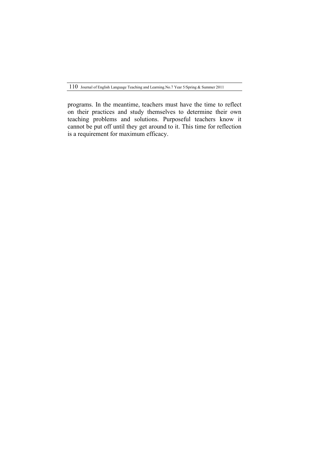programs. In the meantime, teachers must have the time to reflect on their practices and study themselves to determine their own teaching problems and solutions. Purposeful teachers know it cannot be put off until they get around to it. This time for reflection is a requirement for maximum efficacy.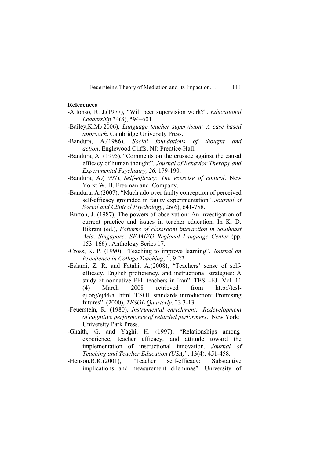### **References**

- -Alfonso, R. J.(1977), "Will peer supervision work?". *Educational Leadership*,34(8), 594–601.
- -Bailey,K.M.(2006), *Language teacher supervision: A case based approach*. Cambridge University Press.
- -Bandura, A.(1986), *Social foundations of thought and action*. Englewood Cliffs, NJ: Prentice-Hall.
- -Bandura, A. (1995), "Comments on the crusade against the causal efficacy of human thought". *Journal of Behavior Therapy and Experimental Psychiatry, 26,* 179-190.
- -Bandura, A.(1997), *Self-efficacy: The exercise of control*. New York: W. H. Freeman and Company.
- -Bandura, A.(2007), "Much ado over faulty conception of perceived self-efficacy grounded in faulty experimentation". *Journal of Social and Clinical Psychology*, 26(6), 641-758.
- -Burton, J. (1987), The powers of observation: An investigation of current practice and issues in teacher education. In K. D. Bikram (ed.), *Patterns of classroom interaction in Southeast Asia. Singapore: SEAMEO Regional Language Center* (pp. 153–166) . Anthology Series 17.
- -Cross, K. P. (1990), "Teaching to improve learning". *Journal on Excellence in College Teaching*, 1, 9-22.
- -Eslami, Z. R. and Fatahi, A.(2008), "Teachers' sense of selfefficacy, English proficiency, and instructional strategies: A study of nonnative EFL teachers in Iran". TESL-EJ Vol. 11 (4) March 2008 retrieved from http://teslej.org/ej44/a1.html."ESOL standards introduction: Promising futures". (2000), *TESOL Quarterly*, 23 3-13.
- -Feuerstein, R. (1980), *Instrumental enrichment: Redevelopment of cognitive performance of retarded performers*. New York: University Park Press.
- -Ghaith, G. and Yaghi, H. (1997), "Relationships among experience, teacher efficacy, and attitude toward the implementation of instructional innovation. *Journal of Teaching and Teacher Education (USA)*". 13(4), 451-458.
- -Henson,R.K.(2001), "Teacher self-efficacy: Substantive implications and measurement dilemmas". University of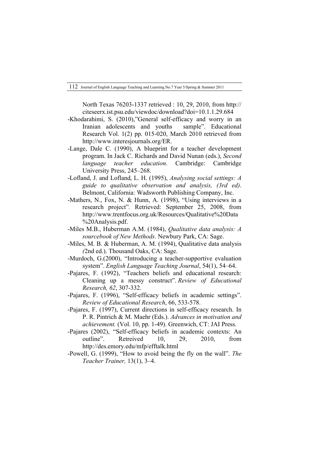North Texas 76203-1337 retrieved : 10, 29, 2010, from http:// citeseerx.ist.psu.edu/viewdoc/download?doi=10.1.1.29.684

- -Khodarahimi, S. (2010),"General self-efficacy and worry in an Iranian adolescents and youths sample". Educational Research Vol. 1(2) pp. 015-020, March 2010 retrieved from http://www.interesjournals.org/ER.
- -Lange, Dale C. (1990), A blueprint for a teacher development program. In Jack C. Richards and David Nunan (eds.), *Second language teacher education*. Cambridge: Cambridge University Press, 245–268.
- -Lofland, J. and Lofland, L. H. (1995), *Analysing social settings: A guide to qualitative observation and analysis, (3rd ed)*. Belmont, California: Wadsworth Publishing Company, Inc.
- -Mathers, N., Fox, N. & Hunn, A. (1998), "Using interviews in a research project"*.* Retrieved: September 25, 2008, from http://www.trentfocus.org.uk/Resources/Qualitative%20Data %20Analysis.pdf.
- -Miles M.B., Huberman A.M. (1984), *Qualitative data analysis: A sourcebook of New Methods.* Newbury Park, CA: Sage.
- -Miles, M. B. & Huberman, A. M. (1994), Qualitative data analysis *(*2nd ed.). Thousand Oaks, CA: Sage.
- -Murdoch, G.(2000), "Introducing a teacher-supportive evaluation system". *English Language Teaching Journal*, 54(1), 54–64.
- -Pajares, F. (1992), "Teachers beliefs and educational research: Cleaning up a messy construct". *Review of Educational Research, 62*, 307-332.
- -Pajares, F. (1996), "Self-efficacy beliefs in academic settings". *Review of Educational Research*, 66, 533-578.
- -Pajares, F. (1997), Current directions in self-efficacy research. In P. R. Pintrich & M. Maehr (Eds.). *Advances in motivation and achievement.* (Vol. 10, pp. 1-49). Greenwich, CT: JAI Press.
- -Pajares (2002), "Self-efficacy beliefs in academic contexts: An outline". Retreived 10, 29, 2010, from http://des.emory.edu/mfp/efftalk.html
- -Powell, G. (1999), "How to avoid being the fly on the wall". *The Teacher Trainer,* 13(1), 3–4.